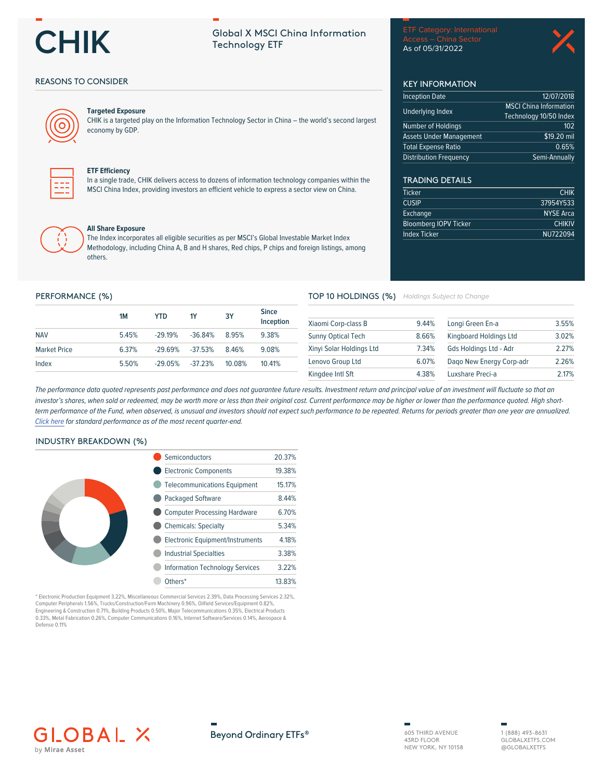

# **Global X MSCI China Information Technology ETF**

**Access - China Sector** As of 05/31/2022

**KEY INFORMATION** 

**Inception Date** 

**Underlying Index** 

Number of Holdings

**Total Expense Ratio Distribution Frequency** 

**TRADING DETAILS** 

**Bloomberg IOPV Ticker** 

**Ticker** 

**CUSIP** 

TOP 10 HOLDINGS (%) Holdings Subject to Change

Exchange

**Index Ticker** 

**Assets Under Management** 



12/07/2018

 $\overline{$19.20}$  mil

Semi-Annually

 $0.65%$ 

**CHIK** 

37954Y533

**NYSE Arca** 

NU722094

**CHIKIV** 

 $102$ 

**MSCI China Information** 

Technology 10/50 Index

## **REASONS TO CONSIDER**



#### **Targeted Exposure**

CHIK is a targeted play on the Information Technology Sector in China - the world's second largest economy by GDP.



#### **ETF Efficiency**

In a single trade, CHIK delivers access to dozens of information technology companies within the MSCI China Index, providing investors an efficient vehicle to express a sector view on China.



#### **All Share Exposure**

The Index incorporates all eligible securities as per MSCI's Global Investable Market Index Methodology, including China A, B and H shares, Red chips, P chips and foreign listings, among others.

#### PERFORMANCE (%)

|                     | 1M    | YTD       | <b>1Y</b>  | 3Y     | <b>Since</b><br>Inception |
|---------------------|-------|-----------|------------|--------|---------------------------|
| <b>NAV</b>          | 545%  | $-2919%$  | $-36.84%$  | 895%   | 9.38%                     |
| <b>Market Price</b> | 6.37% | $-29.69%$ | $-37.53%$  | 8.46%  | 9.08%                     |
| Index               | 5.50% | $-29.05%$ | $-37.23\%$ | 10.08% | 10 41%                    |

#### 9.44% 3.55% Xiaomi Corp-class B Longi Green En-a Sunny Optical Tech 8.66% Kingboard Holdings Ltd 3.02% Xinvi Solar Holdings Ltd 7.34% Gds Holdings Ltd - Adr 2.27% Lenovo Group Ltd 6.07% Dago New Energy Corp-adr 2.26% Kingdee Intl Sft 4.38% Luxshare Preci-a 2.17%

The performance data quoted represents past performance and does not guarantee future results. Investment return and principal value of an investment will fluctuate so that an investor's shares, when sold or redeemed, may be worth more or less than their original cost. Current performance may be higher or lower than the performance quoted. High shortterm performance of the Fund, when observed, is unusual and investors should not expect such performance to be repeated. Returns for periods greater than one year are annualized. Click here for standard performance as of the most recent quarter-end.

### **INDUSTRY BREAKDOWN (%)**

| Semiconductors                          | 20.37% |
|-----------------------------------------|--------|
| <b>Electronic Components</b>            | 19.38% |
| <b>Telecommunications Equipment</b>     | 15.17% |
| <b>Packaged Software</b>                | 8.44%  |
| <b>Computer Processing Hardware</b>     | 6.70%  |
| <b>Chemicals: Specialty</b>             | 5.34%  |
| <b>Electronic Equipment/Instruments</b> | 4.18%  |
| <b>Industrial Specialties</b>           | 3.38%  |
| <b>Information Technology Services</b>  | 3.22%  |
| Others*                                 | 13.83% |

\* Electronic Production Equipment 3.22%, Miscellaneous Commercial Services 2.39%, Data Processing Services 2.32%,<br>Computer Peripherals 1.56%, Trucks/Construction/Farm Machinery 0.96%, Oilfield Services/Equipment 0.82%, Engineering & Construction 0.71%, Building Products 0.50%, Major Telecommunications 0.35%, Electrical Products 0.33%, Metal Fabrication 0.26%, Computer Communications 0.16%, Internet Software/Services 0.14%, Aerospace & Defense 0.11%





605 THIRD AVENUE 43RD FLOOR NEW YORK, NY 10158 1 (888) 493-8631 GLOBAL XETES COM @GLOBALXETFS